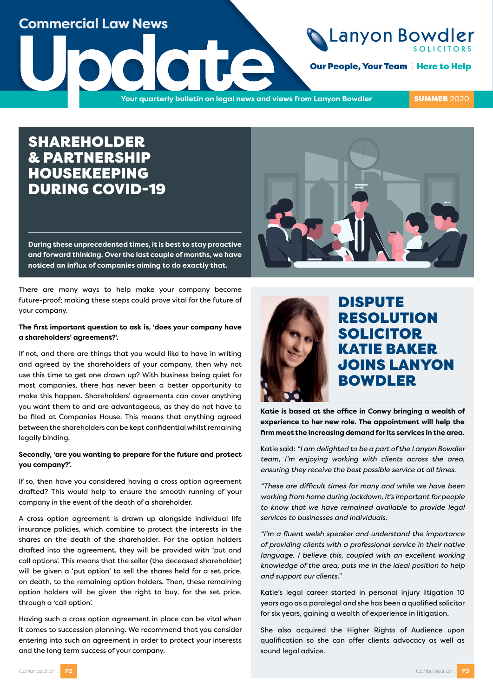### **Commercial Law News**

**Our People, Your Team : Here to Help** 

**UPDATE AND SUPPORT OUT PEOPLE, YOUR QUARTERLY BUILDING OUT PEOPLE, YOUR PEOPLE, YOUR QUARTERLY BUILDING OUT PEOPLE, YOUR QUARTERLY BUILDING OUT PEOPLE, YOUR QUARTERLY BUILDING OUT PEOPLE, YOUR DEVICE** 

**SUMMER 2020** 

### SHAREHOLDER & PARTNERSHIP HOUSEKEEPING DURING COVID-19

**During these unprecedented times, it is best to stay proactive and forward thinking. Over the last couple of months, we have noticed an influx of companies aiming to do exactly that.** 

There are many ways to help make your company become future-proof; making these steps could prove vital for the future of your company.

#### **The first important question to ask is, 'does your company have a shareholders' agreement?'.**

If not, and there are things that you would like to have in writing and agreed by the shareholders of your company, then why not use this time to get one drawn up? With business being quiet for most companies, there has never been a better opportunity to make this happen. Shareholders' agreements can cover anything you want them to and are advantageous, as they do not have to be filed at Companies House. This means that anything agreed between the shareholders can be kept confidential whilst remaining legally binding.

### **Secondly, 'are you wanting to prepare for the future and protect you company?'.**

If so, then have you considered having a cross option agreement drafted? This would help to ensure the smooth running of your company in the event of the death of a shareholder.

A cross option agreement is drawn up alongside individual life insurance policies, which combine to protect the interests in the shares on the death of the shareholder. For the option holders drafted into the agreement, they will be provided with 'put and call options'. This means that the seller (the deceased shareholder) will be given a 'put option' to sell the shares held for a set price, on death, to the remaining option holders. Then, these remaining option holders will be given the right to buy, for the set price, through a 'call option'.

Having such a cross option agreement in place can be vital when it comes to succession planning. We recommend that you consider entering into such an agreement in order to protect your interests and the long term success of your company.





### DISPUTE RESOLUTION SOLICITOR KATIE BAKER JOINS LANYON BOWDLER

**Katie is based at the office in Conwy bringing a wealth of experience to her new role. The appointment will help the firm meet the increasing demand for its services in the area.**

Katie said: *"I am delighted to be a part of the Lanyon Bowdler team, I'm enjoying working with clients across the area, ensuring they receive the best possible service at all times.*

*"These are difficult times for many and while we have been working from home during lockdown, it's important for people to know that we have remained available to provide legal services to businesses and individuals.*

*"I'm a fluent welsh speaker and understand the importance of providing clients with a professional service in their native language. I believe this, coupled with an excellent working knowledge of the area, puts me in the ideal position to help and support our clients."*

Katie's legal career started in personal injury litigation 10 years ago as a paralegal and she has been a qualified solicitor for six years, gaining a wealth of experience in litigation.

She also acquired the Higher Rights of Audience upon qualification so she can offer clients advocacy as well as sound legal advice.

*Continued on...* **P2**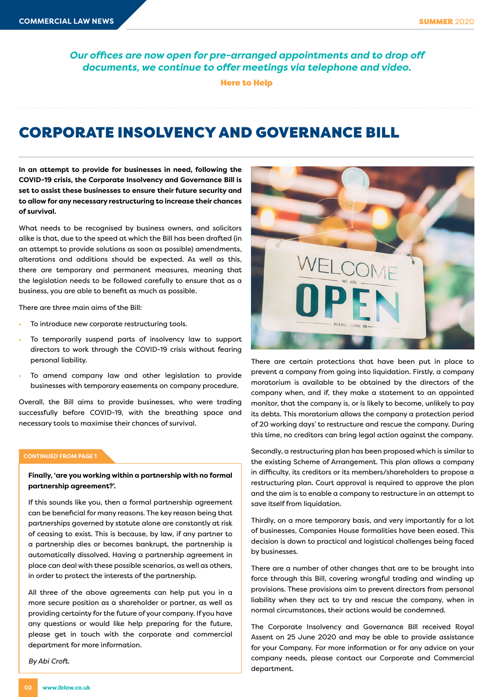*Our offices are now open for pre-arranged appointments and to drop off documents, we continue to offer meetings via telephone and video.*

Here to Help

# CORPORATE INSOLVENCY AND GOVERNANCE BILL

**In an attempt to provide for businesses in need, following the COVID-19 crisis, the Corporate Insolvency and Governance Bill is set to assist these businesses to ensure their future security and to allow for any necessary restructuring to increase their chances of survival.** 

What needs to be recognised by business owners, and solicitors alike is that, due to the speed at which the Bill has been drafted (in an attempt to provide solutions as soon as possible) amendments, alterations and additions should be expected. As well as this, there are temporary and permanent measures, meaning that the legislation needs to be followed carefully to ensure that as a business, you are able to benefit as much as possible.

There are three main aims of the Bill:

- To introduce new corporate restructuring tools.
- To temporarily suspend parts of insolvency law to support directors to work through the COVID-19 crisis without fearing personal liability.
- To amend company law and other legislation to provide businesses with temporary easements on company procedure.

Overall, the Bill aims to provide businesses, who were trading successfully before COVID-19, with the breathing space and necessary tools to maximise their chances of survival.

#### **CONTINUED FROM PAGE 1**

**Finally, 'are you working within a partnership with no formal partnership agreement?'.** 

If this sounds like you, then a formal partnership agreement can be beneficial for many reasons. The key reason being that partnerships governed by statute alone are constantly at risk of ceasing to exist. This is because, by law, if any partner to a partnership dies or becomes bankrupt, the partnership is automatically dissolved. Having a partnership agreement in place can deal with these possible scenarios, as well as others, in order to protect the interests of the partnership.

All three of the above agreements can help put you in a more secure position as a shareholder or partner, as well as providing certainty for the future of your company. If you have any questions or would like help preparing for the future, please get in touch with the corporate and commercial department for more information.

*By Abi Croft.*



There are certain protections that have been put in place to prevent a company from going into liquidation. Firstly, a company moratorium is available to be obtained by the directors of the company when, and if, they make a statement to an appointed monitor, that the company is, or is likely to become, unlikely to pay its debts. This moratorium allows the company a protection period of 20 working days' to restructure and rescue the company. During this time, no creditors can bring legal action against the company.

Secondly, a restructuring plan has been proposed which is similar to the existing Scheme of Arrangement. This plan allows a company in difficulty, its creditors or its members/shareholders to propose a restructuring plan. Court approval is required to approve the plan and the aim is to enable a company to restructure in an attempt to save itself from liquidation.

Thirdly, on a more temporary basis, and very importantly for a lot of businesses, Companies House formalities have been eased. This decision is down to practical and logistical challenges being faced by businesses.

There are a number of other changes that are to be brought into force through this Bill, covering wrongful trading and winding up provisions. These provisions aim to prevent directors from personal liability when they act to try and rescue the company, when in normal circumstances, their actions would be condemned.

The Corporate Insolvency and Governance Bill received Royal Assent on 25 June 2020 and may be able to provide assistance for your Company. For more information or for any advice on your company needs, please contact our Corporate and Commercial department.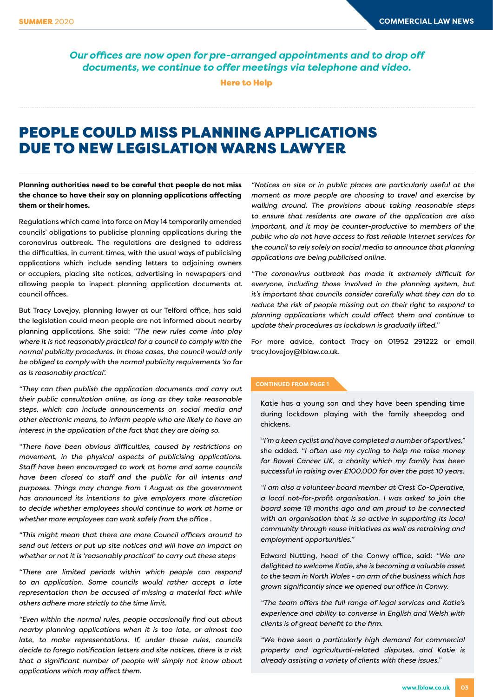*Our offices are now open for pre-arranged appointments and to drop off documents, we continue to offer meetings via telephone and video.*

Here to Help

## PEOPLE COULD MISS PLANNING APPLICATIONS DUE TO NEW LEGISLATION WARNS LAWYER

**Planning authorities need to be careful that people do not miss the chance to have their say on planning applications affecting them or their homes.**

Regulations which came into force on May 14 temporarily amended councils' obligations to publicise planning applications during the coronavirus outbreak. The regulations are designed to address the difficulties, in current times, with the usual ways of publicising applications which include sending letters to adjoining owners or occupiers, placing site notices, advertising in newspapers and allowing people to inspect planning application documents at council offices.

But Tracy Lovejoy, planning lawyer at our Telford office, has said the legislation could mean people are not informed about nearby planning applications. She said: *"The new rules come into play where it is not reasonably practical for a council to comply with the normal publicity procedures. In those cases, the council would only be obliged to comply with the normal publicity requirements 'so far as is reasonably practical'.*

*"They can then publish the application documents and carry out their public consultation online, as long as they take reasonable steps, which can include announcements on social media and other electronic means, to inform people who are likely to have an interest in the application of the fact that they are doing so.*

*"There have been obvious difficulties, caused by restrictions on movement, in the physical aspects of publicising applications. Staff have been encouraged to work at home and some councils have been closed to staff and the public for all intents and purposes. Things may change from 1 August as the government has announced its intentions to give employers more discretion to decide whether employees should continue to work at home or whether more employees can work safely from the office .*

*"This might mean that there are more Council officers around to send out letters or put up site notices and will have an impact on whether or not it is 'reasonably practical' to carry out these steps* 

*"There are limited periods within which people can respond to an application. Some councils would rather accept a late representation than be accused of missing a material fact while others adhere more strictly to the time limit.*

*"Even within the normal rules, people occasionally find out about nearby planning applications when it is too late, or almost too late, to make representations. If, under these rules, councils decide to forego notification letters and site notices, there is a risk that a significant number of people will simply not know about applications which may affect them.*

*"Notices on site or in public places are particularly useful at the moment as more people are choosing to travel and exercise by walking around. The provisions about taking reasonable steps to ensure that residents are aware of the application are also important, and it may be counter-productive to members of the public who do not have access to fast reliable internet services for the council to rely solely on social media to announce that planning applications are being publicised online.*

*"The coronavirus outbreak has made it extremely difficult for everyone, including those involved in the planning system, but it's important that councils consider carefully what they can do to reduce the risk of people missing out on their right to respond to planning applications which could affect them and continue to update their procedures as lockdown is gradually lifted."*

For more advice, contact Tracy on 01952 291222 or email tracy.lovejoy@lblaw.co.uk.

#### **CONTINUED FROM PAGE 1**

Katie has a young son and they have been spending time during lockdown playing with the family sheepdog and chickens.

*"I'm a keen cyclist and have completed a number of sportives,"* she added. *"I often use my cycling to help me raise money for Bowel Cancer UK, a charity which my family has been successful in raising over £100,000 for over the past 10 years.* 

*"I am also a volunteer board member at Crest Co-Operative, a local not-for-profit organisation. I was asked to join the board some 18 months ago and am proud to be connected with an organisation that is so active in supporting its local community through reuse initiatives as well as retraining and employment opportunities."*

Edward Nutting, head of the Conwy office, said: *"We are delighted to welcome Katie, she is becoming a valuable asset to the team in North Wales - an arm of the business which has grown significantly since we opened our office in Conwy.*

*"The team offers the full range of legal services and Katie's experience and ability to converse in English and Welsh with clients is of great benefit to the firm.*

*"We have seen a particularly high demand for commercial property and agricultural-related disputes, and Katie is already assisting a variety of clients with these issues."*